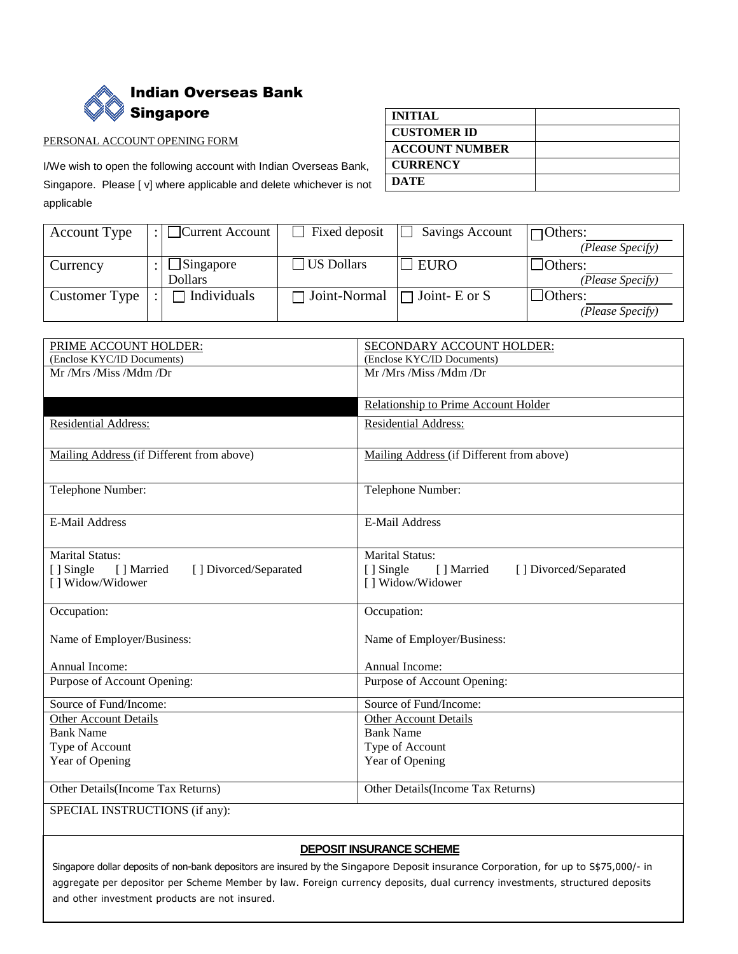

## PERSONAL ACCOUNT OPENING FORM

I/We wish to open the following account with Indian Overseas Bank, Singapore. Please [ v] where applicable and delete whichever is not applicable

| <b>INITIAL</b>        |  |
|-----------------------|--|
| <b>CUSTOMER ID</b>    |  |
| <b>ACCOUNT NUMBER</b> |  |
| <b>CURRENCY</b>       |  |
| <b>DATE</b>           |  |

| <b>Account Type</b> | $\Box$ Current Account | Fixed deposit  | <b>Savings Account</b> | $\Box$ Others:   |
|---------------------|------------------------|----------------|------------------------|------------------|
|                     |                        |                |                        | (Please Specify) |
| Currency            | $\Box$ Singapore       | US Dollars     | $\Box$ EURO            | Others:          |
|                     | <b>Dollars</b>         |                |                        | (Please Specify) |
| Customer Type       | Individuals            | □ Joint-Normal | $\Box$ Joint- E or S   | $\Box$ Others:   |
|                     |                        |                |                        | (Please Specify) |

| PRIME ACCOUNT HOLDER:                             | SECONDARY ACCOUNT HOLDER:                        |
|---------------------------------------------------|--------------------------------------------------|
| (Enclose KYC/ID Documents)                        | (Enclose KYC/ID Documents)                       |
| Mr /Mrs /Miss /Mdm /Dr                            | Mr /Mrs /Miss /Mdm /Dr                           |
|                                                   |                                                  |
|                                                   | Relationship to Prime Account Holder             |
| Residential Address:                              | <b>Residential Address:</b>                      |
|                                                   |                                                  |
| Mailing Address (if Different from above)         | Mailing Address (if Different from above)        |
|                                                   |                                                  |
| Telephone Number:                                 | Telephone Number:                                |
|                                                   |                                                  |
| <b>E-Mail Address</b>                             | <b>E-Mail Address</b>                            |
|                                                   |                                                  |
| <b>Marital Status:</b>                            | <b>Marital Status:</b>                           |
| [] Married<br>[ ] Single<br>[] Divorced/Separated | [] Single<br>[] Married<br>[] Divorced/Separated |
| [] Widow/Widower                                  | [] Widow/Widower                                 |
|                                                   |                                                  |
| Occupation:                                       | Occupation:                                      |
|                                                   |                                                  |
| Name of Employer/Business:                        | Name of Employer/Business:                       |
|                                                   |                                                  |
| Annual Income:                                    | Annual Income:                                   |
| Purpose of Account Opening:                       | Purpose of Account Opening:                      |
| Source of Fund/Income:                            | Source of Fund/Income:                           |
| <b>Other Account Details</b>                      | <b>Other Account Details</b>                     |
| <b>Bank Name</b>                                  | <b>Bank Name</b>                                 |
| Type of Account                                   | Type of Account                                  |
| Year of Opening                                   | Year of Opening                                  |
|                                                   |                                                  |
| Other Details (Income Tax Returns)                | Other Details (Income Tax Returns)               |
| SPECIAL INSTRUCTIONS (if any):                    |                                                  |

## **DEPOSIT INSURANCE SCHEME**

Singapore dollar deposits of non-bank depositors are insured by the Singapore Deposit insurance Corporation, for up to S\$75,000/- in aggregate per depositor per Scheme Member by law. Foreign currency deposits, dual currency investments, structured deposits and other investment products are not insured.